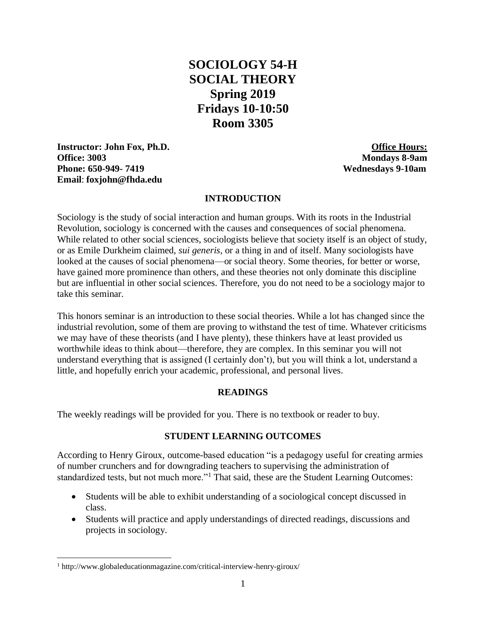# **SOCIOLOGY 54-H SOCIAL THEORY Spring 2019 Fridays 10-10:50 Room 3305**

**Instructor: John Fox, Ph.D. Office Hours: Office: 3003 Mondays 8-9am Phone: 650-949- 7419 Wednesdays 9-10am Email**: **[foxjohn@fhda.edu](mailto:foxjohn@fhda.edu)**

#### **INTRODUCTION**

Sociology is the study of social interaction and human groups. With its roots in the Industrial Revolution, sociology is concerned with the causes and consequences of social phenomena. While related to other social sciences, sociologists believe that society itself is an object of study, or as Emile Durkheim claimed, *sui generis,* or a thing in and of itself. Many sociologists have looked at the causes of social phenomena—or social theory. Some theories, for better or worse, have gained more prominence than others, and these theories not only dominate this discipline but are influential in other social sciences. Therefore, you do not need to be a sociology major to take this seminar.

This honors seminar is an introduction to these social theories. While a lot has changed since the industrial revolution, some of them are proving to withstand the test of time. Whatever criticisms we may have of these theorists (and I have plenty), these thinkers have at least provided us worthwhile ideas to think about—therefore, they are complex. In this seminar you will not understand everything that is assigned (I certainly don't), but you will think a lot, understand a little, and hopefully enrich your academic, professional, and personal lives.

## **READINGS**

The weekly readings will be provided for you. There is no textbook or reader to buy.

#### **STUDENT LEARNING OUTCOMES**

According to Henry Giroux, outcome-based education "is a pedagogy useful for creating armies of number crunchers and for downgrading teachers to supervising the administration of standardized tests, but not much more."<sup>1</sup> That said, these are the Student Learning Outcomes:

- Students will be able to exhibit understanding of a sociological concept discussed in class.
- Students will practice and apply understandings of directed readings, discussions and projects in sociology.

 $\overline{a}$ 

<sup>1</sup> http://www.globaleducationmagazine.com/critical-interview-henry-giroux/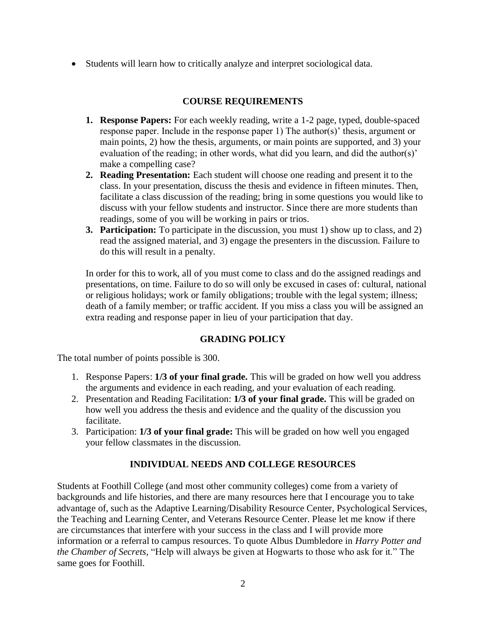• Students will learn how to critically analyze and interpret sociological data.

# **COURSE REQUIREMENTS**

- **1. Response Papers:** For each weekly reading, write a 1-2 page, typed, double-spaced response paper. Include in the response paper 1) The author(s)' thesis, argument or main points, 2) how the thesis, arguments, or main points are supported, and 3) your evaluation of the reading; in other words, what did you learn, and did the author(s)' make a compelling case?
- **2. Reading Presentation:** Each student will choose one reading and present it to the class. In your presentation, discuss the thesis and evidence in fifteen minutes. Then, facilitate a class discussion of the reading; bring in some questions you would like to discuss with your fellow students and instructor. Since there are more students than readings, some of you will be working in pairs or trios.
- **3. Participation:** To participate in the discussion, you must 1) show up to class, and 2) read the assigned material, and 3) engage the presenters in the discussion. Failure to do this will result in a penalty.

In order for this to work, all of you must come to class and do the assigned readings and presentations, on time. Failure to do so will only be excused in cases of: cultural, national or religious holidays; work or family obligations; trouble with the legal system; illness; death of a family member; or traffic accident. If you miss a class you will be assigned an extra reading and response paper in lieu of your participation that day.

# **GRADING POLICY**

The total number of points possible is 300.

- 1. Response Papers: **1/3 of your final grade.** This will be graded on how well you address the arguments and evidence in each reading, and your evaluation of each reading.
- 2. Presentation and Reading Facilitation: **1/3 of your final grade.** This will be graded on how well you address the thesis and evidence and the quality of the discussion you facilitate.
- 3. Participation: **1/3 of your final grade:** This will be graded on how well you engaged your fellow classmates in the discussion.

# **INDIVIDUAL NEEDS AND COLLEGE RESOURCES**

Students at Foothill College (and most other community colleges) come from a variety of backgrounds and life histories, and there are many resources here that I encourage you to take advantage of, such as the Adaptive Learning/Disability Resource Center, Psychological Services, the Teaching and Learning Center, and Veterans Resource Center. Please let me know if there are circumstances that interfere with your success in the class and I will provide more information or a referral to campus resources. To quote Albus Dumbledore in *Harry Potter and the Chamber of Secrets,* "Help will always be given at Hogwarts to those who ask for it." The same goes for Foothill.